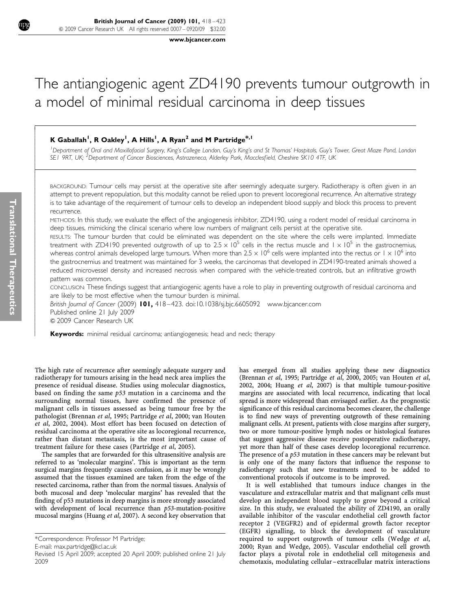www.bjcancer.com

# The antiangiogenic agent ZD4190 prevents tumour outgrowth in a model of minimal residual carcinoma in deep tissues

# K Gaballah<sup>1</sup>, R Oakley<sup>1</sup>, A Hills<sup>1</sup>, A Ryan<sup>2</sup> and M Partridge<sup>\*,1</sup>

<sup>1</sup>Department of Oral and Maxillofacial Surgery, King's College London, Guy's King's and St Thomas' Hospitals, Guy's Tower, Great Maze Pond, London SE1 9RT, UK; <sup>2</sup>Department of Cancer Biosciences, Astrazeneca, Alderley Park, Macclesfield, Cheshire SK10 4TF, UK

BACKGROUND: Tumour cells may persist at the operative site after seemingly adequate surgery. Radiotherapy is often given in an attempt to prevent repopulation, but this modality cannot be relied upon to prevent locoregional recurrence. An alternative strategy is to take advantage of the requirement of tumour cells to develop an independent blood supply and block this process to prevent recurrence.

METHODS: In this study, we evaluate the effect of the angiogenesis inhibitor, ZD4190, using a rodent model of residual carcinoma in deep tissues, mimicking the clinical scenario where low numbers of malignant cells persist at the operative site.

RESULTS: The tumour burden that could be eliminated was dependent on the site where the cells were implanted. Immediate treatment with ZD4190 prevented outgrowth of up to 2.5  $\times$  10<sup>5</sup> cells in the rectus muscle and 1  $\times$  10<sup>5</sup> in the gastrocnemius, whereas control animals developed large tumours. When more than  $2.5 \times 10^6$  cells were implanted into the rectus or  $1 \times 10^6$  into the gastrocnemius and treatment was maintained for 3 weeks, the carcinomas that developed in ZD4190-treated animals showed a reduced microvessel density and increased necrosis when compared with the vehicle-treated controls, but an infiltrative growth pattern was common.

CONCLUSION: These findings suggest that antiangiogenic agents have a role to play in preventing outgrowth of residual carcinoma and are likely to be most effective when the tumour burden is minimal.

British Journal of Cancer (2009) 101, 418-423. doi:10.1038/sj.bjc.6605092 www.bjcancer.com Published online 21 July 2009 & 2009 Cancer Research UK

Keywords: minimal residual carcinoma; antiangiogenesis; head and neck; therapy

The high rate of recurrence after seemingly adequate surgery and radiotherapy for tumours arising in the head neck area implies the presence of residual disease. Studies using molecular diagnostics, based on finding the same  $p53$  mutation in a carcinoma and the surrounding normal tissues, have confirmed the presence of malignant cells in tissues assessed as being tumour free by the pathologist (Brennan et al, 1995; Partridge et al, 2000; van Houten et al, 2002, 2004). Most effort has been focused on detection of residual carcinoma at the operative site as locoregional recurrence, rather than distant metastasis, is the most important cause of treatment failure for these cases (Partridge et al, 2005).

The samples that are forwarded for this ultrasensitive analysis are referred to as 'molecular margins'. This is important as the term surgical margins frequently causes confusion, as it may be wrongly assumed that the tissues examined are taken from the edge of the resected carcinoma, rather than from the normal tissues. Analysis of both mucosal and deep 'molecular margins' has revealed that the finding of p53 mutations in deep margins is more strongly associated with development of local recurrence than p53-mutation-positive mucosal margins (Huang et al, 2007). A second key observation that

E-mail: max.partridge@kcl.ac.uk

has emerged from all studies applying these new diagnostics (Brennan et al, 1995; Partridge et al, 2000, 2005; van Houten et al, 2002, 2004; Huang et al, 2007) is that multiple tumour-positive margins are associated with local recurrence, indicating that local spread is more widespread than envisaged earlier. As the prognostic significance of this residual carcinoma becomes clearer, the challenge is to find new ways of preventing outgrowth of these remaining malignant cells. At present, patients with close margins after surgery, two or more tumour-positive lymph nodes or histological features that suggest aggressive disease receive postoperative radiotherapy, yet more than half of these cases develop locoregional recurrence. The presence of a p53 mutation in these cancers may be relevant but is only one of the many factors that influence the response to radiotherapy such that new treatments need to be added to conventional protocols if outcome is to be improved.

It is well established that tumours induce changes in the vasculature and extracellular matrix and that malignant cells must develop an independent blood supply to grow beyond a critical size. In this study, we evaluated the ability of ZD4190, an orally available inhibitor of the vascular endothelial cell growth factor receptor 2 (VEGFR2) and of epidermal growth factor receptor (EGFR) signalling, to block the development of vasculature required to support outgrowth of tumour cells (Wedge et al, 2000; Ryan and Wedge, 2005). Vascular endothelial cell growth factor plays a pivotal role in endothelial cell mitogenesis and chemotaxis, modulating cellular – extracellular matrix interactions

--------------------------------------------

<sup>\*</sup>Correspondence: Professor M Partridge;

Revised 15 April 2009; accepted 20 April 2009; published online 21 July 2009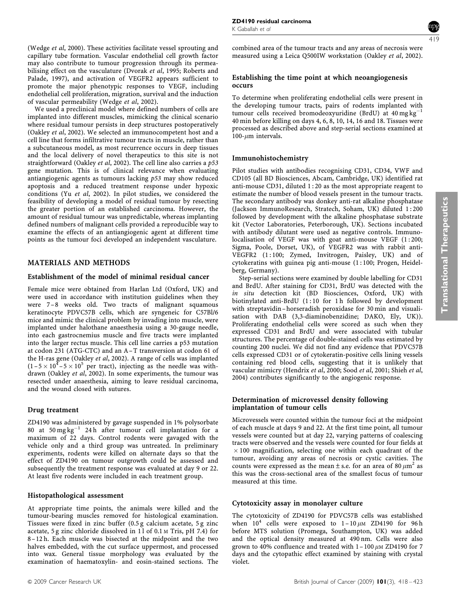(Wedge et al, 2000). These activities facilitate vessel sprouting and capillary tube formation. Vascular endothelial cell growth factor may also contribute to tumour progression through its permeabilising effect on the vasculature (Dvorak et al, 1995; Roberts and Palade, 1997), and activation of VEGFR2 appears sufficient to promote the major phenotypic responses to VEGF, including endothelial cell proliferation, migration, survival and the induction of vascular permeability (Wedge et al, 2002).

We used a preclinical model where defined numbers of cells are implanted into different muscles, mimicking the clinical scenario where residual tumour persists in deep structures postoperatively (Oakley et al, 2002). We selected an immunocompetent host and a cell line that forms infiltrative tumour tracts in muscle, rather than a subcutaneous model, as most recurrence occurs in deep tissues and the local delivery of novel therapeutics to this site is not straightforward (Oakley et al, 2002). The cell line also carries a p53 gene mutation. This is of clinical relevance when evaluating antiangiogenic agents as tumours lacking p53 may show reduced apoptosis and a reduced treatment response under hypoxic conditions (Yu et al, 2002). In pilot studies, we considered the feasibility of developing a model of residual tumour by resecting the greater portion of an established carcinoma. However, the amount of residual tumour was unpredictable, whereas implanting defined numbers of malignant cells provided a reproducible way to examine the effects of an antiangiogenic agent at different time points as the tumour foci developed an independent vasculature.

### MATERIALS AND METHODS

#### Establishment of the model of minimal residual cancer

Female mice were obtained from Harlan Ltd (Oxford, UK) and were used in accordance with institution guidelines when they were 7-8 weeks old. Two tracts of malignant squamous keratinocyte PDVC57B cells, which are syngeneic for C57Bl/6 mice and mimic the clinical problem by invading into muscle, were implanted under halothane anaesthesia using a 30-gauge needle, into each gastrocnemius muscle and five tracts were implanted into the larger rectus muscle. This cell line carries a p53 mutation at codon 231 (ATG-CTC) and an A –T transversion at codon 61 of the H-ras gene (Oakley et al, 2002). A range of cells was implanted  $(1-5 \times 10^{4} - 5 \times 10^{5}$  per tract), injecting as the needle was withdrawn (Oakley et al, 2002). In some experiments, the tumour was resected under anaesthesia, aiming to leave residual carcinoma, and the wound closed with sutures.

#### Drug treatment

ZD4190 was administered by gavage suspended in 1% polysorbate  $80$  at  $50 \text{ mg kg}^{-1}$  24h after tumour cell implantation for a maximum of 22 days. Control rodents were gavaged with the vehicle only and a third group was untreated. In preliminary experiments, rodents were killed on alternate days so that the effect of ZD4190 on tumour outgrowth could be assessed and subsequently the treatment response was evaluated at day 9 or 22. At least five rodents were included in each treatment group.

#### Histopathological assessment

At appropriate time points, the animals were killed and the tumour-bearing muscles removed for histological examination. Tissues were fixed in zinc buffer (0.5 g calcium acetate, 5 g zinc acetate, 5 g zinc chloride dissolved in 11 of 0.1 M Tris, pH 7.4) for 8 –12 h. Each muscle was bisected at the midpoint and the two halves embedded, with the cut surface uppermost, and processed into wax. General tissue morphology was evaluated by the examination of haematoxylin- and eosin-stained sections. The combined area of the tumour tracts and any areas of necrosis were measured using a Leica Q500IW workstation (Oakley et al, 2002). 419

#### Establishing the time point at which neoangiogenesis occurs

To determine when proliferating endothelial cells were present in the developing tumour tracts, pairs of rodents implanted with tumour cells received bromodeoxyuridine (BrdU) at  $40 \text{ mg kg}^{-1}$ 40 min before killing on days 4, 6, 8, 10, 14, 16 and 18. Tissues were processed as described above and step-serial sections examined at  $100$ - $\mu$ m intervals.

#### Immunohistochemistry

Pilot studies with antibodies recognising CD31, CD34, VWF and CD105 (all BD Biosciences, Abcam, Cambridge, UK) identified rat anti-mouse CD31, diluted 1 : 20 as the most appropriate reagent to estimate the number of blood vessels present in the tumour tracts. The secondary antibody was donkey anti-rat alkaline phosphatase (Jackson ImmunoResearch, Stratech, Soham, UK) diluted 1 : 200 followed by development with the alkaline phosphatase substrate kit (Vector Laboratories, Peterborough, UK). Sections incubated with antibody dilutant were used as negative controls. Immunolocalisation of VEGF was with goat anti-mouse VEGF (1:200; Sigma, Poole, Dorset, UK), of VEGFR2 was with rabbit anti-VEGFR2 (1:100; Zymed, Invitrogen, Paisley, UK) and of cytokeratins with guinea pig anti-mouse (1 : 100; Progen, Heidelberg, Germany).

Step-serial sections were examined by double labelling for CD31 and BrdU. After staining for CD31, BrdU was detected with the in situ detection kit (BD Biosciences, Oxford, UK) with biotinylated anti-BrdU (1:10 for 1h followed by development with streptavidin – horseradish peroxidase for 30 min and visualisation with DAB (3,3-diaminobenzidine; DAKO, Ely, UK)). Proliferating endothelial cells were scored as such when they expressed CD31 and BrdU and were associated with tubular structures. The percentage of double-stained cells was estimated by counting 200 nuclei. We did not find any evidence that PDVC57B cells expressed CD31 or of cytokeratin-positive cells lining vessels containing red blood cells, suggesting that it is unlikely that vascular mimicry (Hendrix et al, 2000; Sood et al, 2001; Shieh et al, 2004) contributes significantly to the angiogenic response.

## Determination of microvessel density following implantation of tumour cells

Microvessels were counted within the tumour foci at the midpoint of each muscle at days 9 and 22. At the first time point, all tumour vessels were counted but at day 22, varying patterns of coalescing tracts were observed and the vessels were counted for four fields at  $\times$  100 magnification, selecting one within each quadrant of the tumour, avoiding any areas of necrosis or cystic cavities. The counts were expressed as the mean  $\pm$  s.e. for an area of 80  $\mu$ m<sup>2</sup> as this was the cross-sectional area of the smallest focus of tumour measured at this time.

### Cytotoxicity assay in monolayer culture

The cytotoxicity of ZD4190 for PDVC57B cells was established when  $10^4$  cells were exposed to  $1-10 \mu$ M ZD4190 for 96h before MTS solution (Promega, Southampton, UK) was added and the optical density measured at 490 nm. Cells were also grown to 40% confluence and treated with  $1 - 100 \mu$ M ZD4190 for 7 days and the cytopathic effect examined by staining with crystal violet.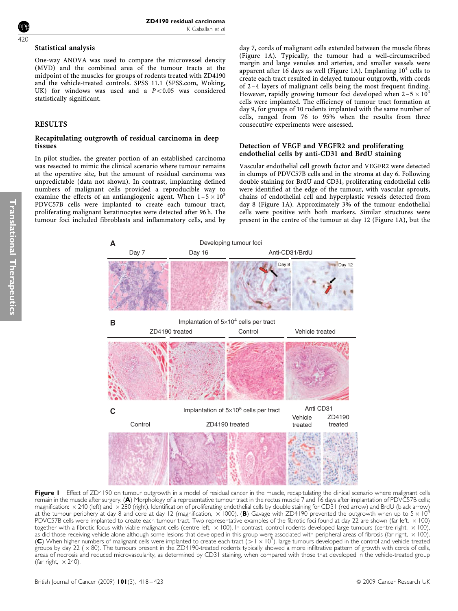#### Statistical analysis

One-way ANOVA was used to compare the microvessel density (MVD) and the combined area of the tumour tracts at the midpoint of the muscles for groups of rodents treated with ZD4190 and the vehicle-treated controls. SPSS 11.1 (SPSS.com, Woking, UK) for windows was used and a  $P < 0.05$  was considered statistically significant.

# RESULTS

#### Recapitulating outgrowth of residual carcinoma in deep tissues

In pilot studies, the greater portion of an established carcinoma was resected to mimic the clinical scenario where tumour remains at the operative site, but the amount of residual carcinoma was unpredictable (data not shown). In contrast, implanting defined numbers of malignant cells provided a reproducible way to examine the effects of an antiangiogenic agent. When  $1-5 \times 10^5$ PDVC57B cells were implanted to create each tumour tract, proliferating malignant keratinocytes were detected after 96 h. The tumour foci included fibroblasts and inflammatory cells, and by day 7, cords of malignant cells extended between the muscle fibres (Figure 1A). Typically, the tumour had a well-circumscribed margin and large venules and arteries, and smaller vessels were apparent after 16 days as well (Figure 1A). Implanting  $10^4$  cells to create each tract resulted in delayed tumour outgrowth, with cords of 2 –4 layers of malignant cells being the most frequent finding. However, rapidly growing tumour foci developed when  $2-5 \times 10^4$ cells were implanted. The efficiency of tumour tract formation at day 9, for groups of 10 rodents implanted with the same number of cells, ranged from 76 to 95% when the results from three consecutive experiments were assessed.

### Detection of VEGF and VEGFR2 and proliferating endothelial cells by anti-CD31 and BrdU staining

Vascular endothelial cell growth factor and VEGFR2 were detected in clumps of PDVC57B cells and in the stroma at day 6. Following double staining for BrdU and CD31, proliferating endothelial cells were identified at the edge of the tumour, with vascular sprouts, chains of endothelial cell and hyperplastic vessels detected from day 8 (Figure 1A). Approximately 3% of the tumour endothelial cells were positive with both markers. Similar structures were present in the centre of the tumour at day 12 (Figure 1A), but the



Figure I Effect of ZD4190 on tumour outgrowth in a model of residual cancer in the muscle, recapitulating the clinical scenario where malignant cells remain in the muscle after surgery. (A) Morphology of a representative tumour tract in the rectus muscle 7 and 16 days after implantation of PDVC57B cells; magnification:  $\times$  240 (left) and  $\times$  280 (right). Identification of proliferating endothelial cells by double staining for CD31 (red arrow) and BrdU (black arrow) at the tumour periphery at day 8 and core at day 12 (magnification,  $\times$  1000). (B) Gavage with ZD4190 prevented the outgrowth when up to 5  $\times$  10<sup>4</sup> PDVC57B cells were implanted to create each tumour tract. Two representative examples of the fibrotic foci found at day 22 are shown (far left,  $\times$  100) together with a fibrotic focus with viable malignant cells (centre left, × 100). In contrast, control rodents developed large tumours (centre right, × 100), as did those receiving vehicle alone although some lesions that developed in this group were associated with peripheral areas of fibrosis (far right,  $\times$  100). (C) When higher numbers of malignant cells were implanted to create each tract (>  $1 \times 10^5$ ), large tumours developed in the control and vehicle-treated groups by day 22 ( × 80). The tumours present in the ZD4190-treated rodents typically showed a more infiltrative pattern of growth with cords of cells, areas of necrosis and reduced microvascularity, as determined by CD31 staining, when compared with those that developed in the vehicle-treated group (far right,  $\times$  240).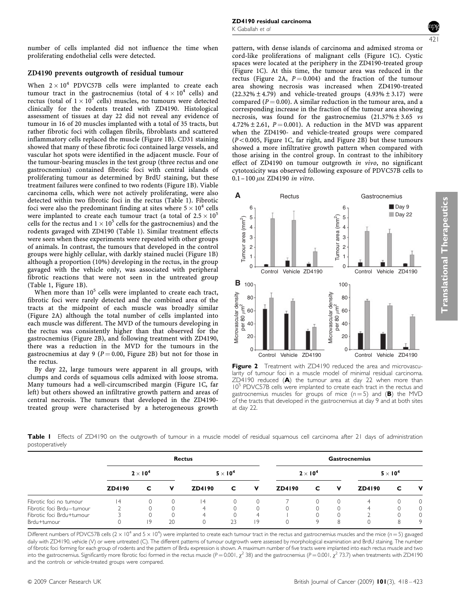number of cells implanted did not influence the time when proliferating endothelial cells were detected.

# ZD4190 prevents outgrowth of residual tumour

When  $2 \times 10^4$  PDVC57B cells were implanted to create each tumour tract in the gastrocnemius (total of  $4 \times 10^4$  cells) and rectus (total of  $1 \times 10^5$  cells) muscles, no tumours were detected clinically for the rodents treated with ZD4190. Histological assessment of tissues at day 22 did not reveal any evidence of tumour in 16 of 20 muscles implanted with a total of 35 tracts, but rather fibrotic foci with collagen fibrils, fibroblasts and scattered inflammatory cells replaced the muscle (Figure 1B). CD31 staining showed that many of these fibrotic foci contained large vessels, and vascular hot spots were identified in the adjacent muscle. Four of the tumour-bearing muscles in the test group (three rectus and one gastrocnemius) contained fibrotic foci with central islands of proliferating tumour as determined by BrdU staining, but these treatment failures were confined to two rodents (Figure 1B). Viable carcinoma cells, which were not actively proliferating, were also detected within two fibrotic foci in the rectus (Table 1). Fibrotic foci were also the predominant finding at sites where  $5 \times 10^4$  cells were implanted to create each tumour tract (a total of  $2.5 \times 10^5$ cells for the rectus and  $1 \times 10^5$  cells for the gastrocnemius) and the rodents gavaged with ZD4190 (Table 1). Similar treatment effects were seen when these experiments were repeated with other groups of animals. In contrast, the tumours that developed in the control groups were highly cellular, with darkly stained nuclei (Figure 1B) although a proportion (10%) developing in the rectus, in the group gavaged with the vehicle only, was associated with peripheral fibrotic reactions that were not seen in the untreated group (Table 1, Figure 1B).

When more than  $10^5$  cells were implanted to create each tract, fibrotic foci were rarely detected and the combined area of the tracts at the midpoint of each muscle was broadly similar (Figure 2A) although the total number of cells implanted into each muscle was different. The MVD of the tumours developing in the rectus was consistently higher than that observed for the gastrocnemius (Figure 2B), and following treatment with ZD4190, there was a reduction in the MVD for the tumours in the gastrocnemius at day 9 ( $P = 0.00$ , Figure 2B) but not for those in the rectus.

By day 22, large tumours were apparent in all groups, with clumps and cords of squamous cells admixed with loose stroma. Many tumours had a well-circumscribed margin (Figure 1C, far left) but others showed an infiltrative growth pattern and areas of central necrosis. The tumours that developed in the ZD4190 treated group were characterised by a heterogeneous growth pattern, with dense islands of carcinoma and admixed stroma or cord-like proliferations of malignant cells (Figure 1C). Cystic spaces were located at the periphery in the ZD4190-treated group (Figure 1C). At this time, the tumour area was reduced in the rectus (Figure 2A,  $P = 0.004$ ) and the fraction of the tumour area showing necrosis was increased when ZD4190-treated (22.32% $\pm$ 4.79) and vehicle-treated groups (4.93% $\pm$ 3.17) were compared ( $P = 0.00$ ). A similar reduction in the tumour area, and a corresponding increase in the fraction of the tumour area showing necrosis, was found for the gastrocnemius  $(21.37\% \pm 3.65 \text{ vs } 2.5\%)$  $4.72\% \pm 2.61$ ,  $P = 0.001$ ). A reduction in the MVD was apparent when the ZD4190- and vehicle-treated groups were compared  $(P<0.005$ , Figure 1C, far right, and Figure 2B) but these tumours showed a more infiltrative growth pattern when compared with those arising in the control group. In contrast to the inhibitory effect of ZD4190 on tumour outgrowth in vivo, no significant cytotoxicity was observed following exposure of PDVC57B cells to  $0.1 - 100 \mu M$  ZD4190 in vitro.



Figure 2 Treatment with ZD4190 reduced the area and microvascularity of tumour foci in a muscle model of minimal residual carcinoma.  $ZD4190$  reduced (A) the tumour area at day 22 when more than 10<sup>5</sup> PDVC57B cells were implanted to create each tract in the rectus and gastrocnemius muscles for groups of mice  $(n = 5)$  and (B) the MVD of the tracts that developed in the gastrocnemius at day 9 and at both sites at day 22.

Table I Effects of ZD4190 on the outgrowth of tumour in a muscle model of residual squamous cell carcinoma after 21 days of administration postoperatively

|                           | <b>Rectus</b>   |          |    |                 |          |   | <b>Gastrocnemius</b> |   |   |                 |          |          |
|---------------------------|-----------------|----------|----|-----------------|----------|---|----------------------|---|---|-----------------|----------|----------|
|                           | $2 \times 10^4$ |          |    | $5 \times 10^4$ |          |   | $2 \times 10^4$      |   |   | $5 \times 10^4$ |          |          |
|                           | ZD4190          | C        | v  | ZD4190          | C        | v | ZD4190               | C | v | ZD4190          | c        | v        |
| Fibrotic foci no tumour   | 14              | $\Omega$ |    | 4               | $\Omega$ |   |                      |   |   | 4               | $\Omega$ | $\Omega$ |
| Fibrotic foci Brdu-tumour |                 |          |    | 4               |          |   |                      |   |   | ◢               | $\Omega$ | $\circ$  |
| Fibrotic foci Brdu+tumour |                 |          |    | 4               |          | Δ |                      |   |   |                 | 0        | 0        |
| Brdu+tumour               |                 | 19       | 20 |                 | 23       | 9 | $\Omega$             |   | 8 | 0               | 8        | 9        |

Different numbers of PDVC57B cells ( $2 \times 10^4$  and  $5 \times 10^4$ ) were implanted to create each tumour tract in the rectus and gastrocnemius muscles and the mice ( $n=5$ ) gavaged daily with ZD4190, vehicle (V) or were untreated (C). The different patterns of tumour outgrowth were assessed by morphological examination and BrdU staining. The number of fibrotic foci forming for each group of rodents and the pattern of Brdu expression is shown. A maximum number of five tracts were implanted into each rectus muscle and two into the gastrocnemius. Significantly more fibrotic foci formed in the rectus muscle  $(P = 0.001, \chi^2 38)$  and the gastrocnemius (P = 0.001,  $\chi^2 73.7$ ) when treatments with ZD4190 and the controls or vehicle-treated groups were compared.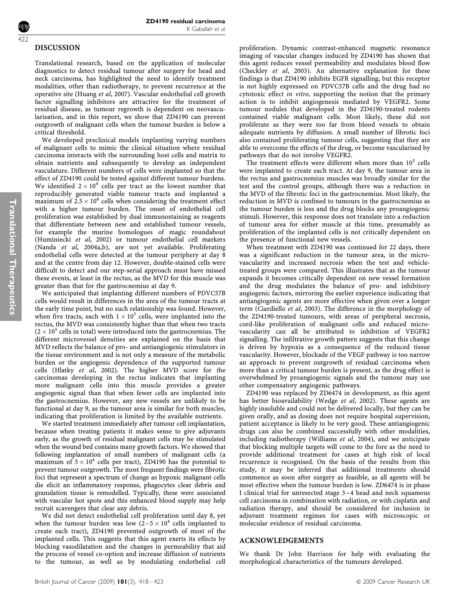# DISCUSSION

422

Translational research, based on the application of molecular diagnostics to detect residual tumour after surgery for head and neck carcinoma, has highlighted the need to identify treatment modalities, other than radiotherapy, to prevent recurrence at the operative site (Huang et al, 2007). Vascular endothelial cell growth factor signalling inhibitors are attractive for the treatment of residual disease, as tumour regrowth is dependent on neovascularisation, and in this report, we show that ZD4190 can prevent outgrowth of malignant cells when the tumour burden is below a critical threshold.

We developed preclinical models implanting varying numbers of malignant cells to mimic the clinical situation where residual carcinoma interacts with the surrounding host cells and matrix to obtain nutrients and subsequently to develop an independent vasculature. Different numbers of cells were implanted so that the effect of ZD4190 could be tested against different tumour burdens. We identified  $2 \times 10^4$  cells per tract as the lowest number that reproducibly generated viable tumour tracts and implanted a maximum of  $2.5 \times 10^6$  cells when considering the treatment effect with a higher tumour burden. The onset of endothelial cell proliferation was established by dual immunostaining as reagents that differentiate between new and established tumour vessels, for example the murine homologues of magic roundabout (Huminiecki et al, 2002) or tumour endothelial cell markers (Nanda et al, 2004a,b), are not yet available. Proliferating endothelial cells were detected at the tumour periphery at day 8 and at the centre from day 12. However, double-stained cells were difficult to detect and our step-serial approach must have missed these events, at least in the rectus, as the MVD for this muscle was greater than that for the gastrocnemius at day 9.

We anticipated that implanting different numbers of PDVC57B cells would result in differences in the area of the tumour tracts at the early time point, but no such relationship was found. However, when five tracts, each with  $1 \times 10^5$  cells, were implanted into the rectus, the MVD was consistently higher than that when two tracts  $(2 \times 10^5$  cells in total) were introduced into the gastrocnemius. The different microvessel densities are explained on the basis that MVD reflects the balance of pro- and antiangiogenic stimulators in the tissue environment and is not only a measure of the metabolic burden or the angiogenic dependence of the supported tumour cells (Hlatky et al, 2002). The higher MVD score for the carcinomas developing in the rectus indicates that implanting more malignant cells into this muscle provides a greater angiogenic signal than that when fewer cells are implanted into the gastrocnemius. However, any new vessels are unlikely to be functional at day 9, as the tumour area is similar for both muscles, indicating that proliferation is limited by the available nutrients.

We started treatment immediately after tumour cell implantation, because when treating patients it makes sense to give adjuvants early, as the growth of residual malignant cells may be stimulated when the wound bed contains many growth factors. We showed that following implantation of small numbers of malignant cells (a maximum of  $5 \times 10^4$  cells per tract), ZD4190 has the potential to prevent tumour outgrowth. The most frequent findings were fibrotic foci that represent a spectrum of change as hypoxic malignant cells die elicit an inflammatory response, phagocytes clear debris and granulation tissue is remodelled. Typically, these were associated with vascular hot spots and this enhanced blood supply may help recruit scavengers that clear any debris.

We did not detect endothelial cell proliferation until day 8, yet when the tumour burden was low  $(2-5 \times 10^4)$  cells implanted to create each tract), ZD4190 prevented outgrowth of most of the implanted cells. This suggests that this agent exerts its effects by blocking vasodilatation and the changes in permeability that aid the process of vessel co-option and increase diffusion of nutrients to the tumour, as well as by modulating endothelial cell proliferation. Dynamic contrast-enhanced magnetic resonance imaging of vascular changes induced by ZD4190 has shown that this agent reduces vessel permeability and modulates blood flow (Checkley et al, 2003). An alternative explanation for these findings is that ZD4190 inhibits EGFR signalling, but this receptor is not highly expressed on PDVC57B cells and the drug had no cytotoxic effect in vitro, supporting the notion that the primary action is to inhibit angiogenesis mediated by VEGFR2. Some tumour nodules that developed in the ZD4190-treated rodents contained viable malignant cells. Most likely, these did not proliferate as they were too far from blood vessels to obtain adequate nutrients by diffusion. A small number of fibrotic foci also contained proliferating tumour cells, suggesting that they are able to overcome the effects of the drug, or become vascularised by pathways that do not involve VEGFR2.

The treatment effects were different when more than  $10^5$  cells were implanted to create each tract. At day 9, the tumour area in the rectus and gastrocnemius muscles was broadly similar for the test and the control groups, although there was a reduction in the MVD of the fibrotic foci in the gastrocnemius. Most likely, the reduction in MVD is confined to tumours in the gastrocnemius as the tumour burden is less and the drug blocks any proangiogenic stimuli. However, this response does not translate into a reduction of tumour area for either muscle at this time, presumably as proliferation of the implanted cells is not critically dependent on the presence of functional new vessels.

When treatment with ZD4190 was continued for 22 days, there was a significant reduction in the tumour area, in the microvascularity and increased necrosis when the test and vehicletreated groups were compared. This illustrates that as the tumour expands it becomes critically dependent on new vessel formation and the drug modulates the balance of pro- and inhibitory angiogenic factors, mirroring the earlier experience indicating that antiangiogenic agents are more effective when given over a longer term (Ciardiello et al, 2003). The difference in the morphology of the ZD4190-treated tumours, with areas of peripheral necrosis, cord-like proliferation of malignant cells and reduced microvascularity can all be attributed to inhibition of VEGFR2 signalling. The infiltrative growth pattern suggests that this change is driven by hypoxia as a consequence of the reduced tissue vascularity. However, blockade of the VEGF pathway is too narrow an approach to prevent outgrowth of residual carcinoma when more than a critical tumour burden is present, as the drug effect is overwhelmed by proangiogenic signals and the tumour may use other compensatory angiogenic pathways.

ZD4190 was replaced by ZD6474 in development, as this agent has better bioavailability (Wedge et al, 2002). These agents are highly insoluble and could not be delivered locally, but they can be given orally, and as dosing does not require hospital supervision, patient acceptance is likely to be very good. These antiangiogenic drugs can also be combined successfully with other modalities, including radiotherapy (Williams et al, 2004), and we anticipate that blocking multiple targets will come to the fore as the need to provide additional treatment for cases at high risk of local recurrence is recognised. On the basis of the results from this study, it may be inferred that additional treatments should commence as soon after surgery as feasible, as all agents will be most effective when the tumour burden is low. ZD6474 is in phase I clinical trial for unresected stage 3 –4 head and neck squamous cell carcinoma in combination with radiation, or with cisplatin and radiation therapy, and should be considered for inclusion in adjuvant treatment regimes for cases with microscopic or molecular evidence of residual carcinoma.

#### ACKNOWLEDGEMENTS

We thank Dr John Harrison for help with evaluating the morphological characteristics of the tumours developed.